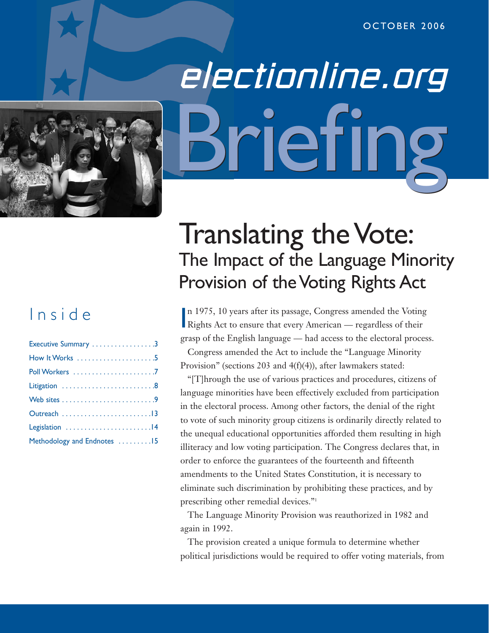

# electionline.org riefin

# Inside

| Executive Summary 3         |
|-----------------------------|
|                             |
|                             |
|                             |
|                             |
|                             |
|                             |
| Methodology and Endnotes 15 |

# Translating the Vote: The Impact of the Language Minority Provision of the Voting Rights Act

In 1975, 10 years after its passage, Congress amended the Votin<br>Rights Act to ensure that every American — regardless of their n 1975, 10 years after its passage, Congress amended the Voting grasp of the English language — had access to the electoral process.

Congress amended the Act to include the "Language Minority Provision" (sections 203 and 4(f)(4)), after lawmakers stated:

"[T]hrough the use of various practices and procedures, citizens of language minorities have been effectively excluded from participation in the electoral process. Among other factors, the denial of the right to vote of such minority group citizens is ordinarily directly related to the unequal educational opportunities afforded them resulting in high illiteracy and low voting participation. The Congress declares that, in order to enforce the guarantees of the fourteenth and fifteenth amendments to the United States Constitution, it is necessary to eliminate such discrimination by prohibiting these practices, and by prescribing other remedial devices."1

The Language Minority Provision was reauthorized in 1982 and again in 1992.

The provision created a unique formula to determine whether political jurisdictions would be required to offer voting materials, from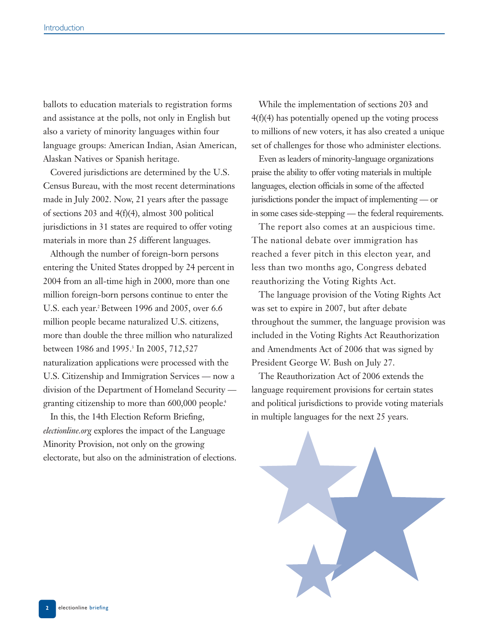ballots to education materials to registration forms and assistance at the polls, not only in English but also a variety of minority languages within four language groups: American Indian, Asian American, Alaskan Natives or Spanish heritage.

Covered jurisdictions are determined by the U.S. Census Bureau, with the most recent determinations made in July 2002. Now, 21 years after the passage of sections 203 and 4(f)(4), almost 300 political jurisdictions in 31 states are required to offer voting materials in more than 25 different languages.

Although the number of foreign-born persons entering the United States dropped by 24 percent in 2004 from an all-time high in 2000, more than one million foreign-born persons continue to enter the U.S. each year.<sup>2</sup> Between 1996 and 2005, over 6.6 million people became naturalized U.S. citizens, more than double the three million who naturalized between 1986 and 1995.<sup>3</sup> In 2005, 712,527 naturalization applications were processed with the U.S. Citizenship and Immigration Services — now a division of the Department of Homeland Security granting citizenship to more than 600,000 people.<sup>4</sup>

In this, the 14th Election Reform Briefing, *electionline.org* explores the impact of the Language Minority Provision, not only on the growing electorate, but also on the administration of elections.

While the implementation of sections 203 and 4(f)(4) has potentially opened up the voting process to millions of new voters, it has also created a unique set of challenges for those who administer elections.

Even as leaders of minority-language organizations praise the ability to offer voting materials in multiple languages, election officials in some of the affected jurisdictions ponder the impact of implementing — or in some cases side-stepping — the federal requirements.

The report also comes at an auspicious time. The national debate over immigration has reached a fever pitch in this electon year, and less than two months ago, Congress debated reauthorizing the Voting Rights Act.

The language provision of the Voting Rights Act was set to expire in 2007, but after debate throughout the summer, the language provision was included in the Voting Rights Act Reauthorization and Amendments Act of 2006 that was signed by President George W. Bush on July 27.

The Reauthorization Act of 2006 extends the language requirement provisions for certain states and political jurisdictions to provide voting materials in multiple languages for the next 25 years.

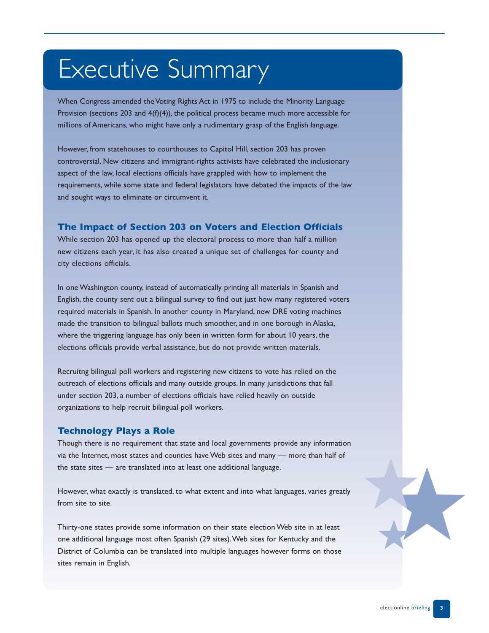# Executive Summary

When Congress amended the Voting Rights Act in 1975 to include the Minority Language Provision (sections 203 and  $4(f)(4)$ ), the political process became much more accessible for millions of Americans, who might have only a rudimentary grasp of the English language.

However, from statehouses to courthouses to Capitol Hill, section 203 has proven controversial. New citizens and immigrant-rights activists have celebrated the inclusionary aspect of the law, local elections officials have grappled with how to implement the requirements, while some state and federal legislators have debated the impacts of the law and sought ways to eliminate or circumvent it.

#### **The Impact of Section 203 on Voters and Election Officials**

While section 203 has opened up the electoral process to more than half a million new citizens each year, it has also created a unique set of challenges for county and city elections officials.

In one Washington county, instead of automatically printing all materials in Spanish and English, the county sent out a bilingual survey to find out just how many registered voters required materials in Spanish. In another county in Maryland, new DRE voting machines made the transition to bilingual ballots much smoother, and in one borough in Alaska, where the triggering language has only been in written form for about 10 years, the elections officials provide verbal assistance, but do not provide written materials.

Recruitng bilingual poll workers and registering new citizens to vote has relied on the outreach of elections officials and many outside groups. In many jurisdictions that fall under section 203, a number of elections officials have relied heavily on outside organizations to help recruit bilingual poll workers.

#### **Technology Plays a Role**

Though there is no requirement that state and local governments provide any information via the Internet, most states and counties have Web sites and many — more than half of the state sites — are translated into at least one additional language.

However, what exactly is translated, to what extent and into what languages, varies greatly from site to site.

Thirty-one states provide some information on their state election Web site in at least one additional language most often Spanish (29 sites).Web sites for Kentucky and the District of Columbia can be translated into multiple languages however forms on those sites remain in English.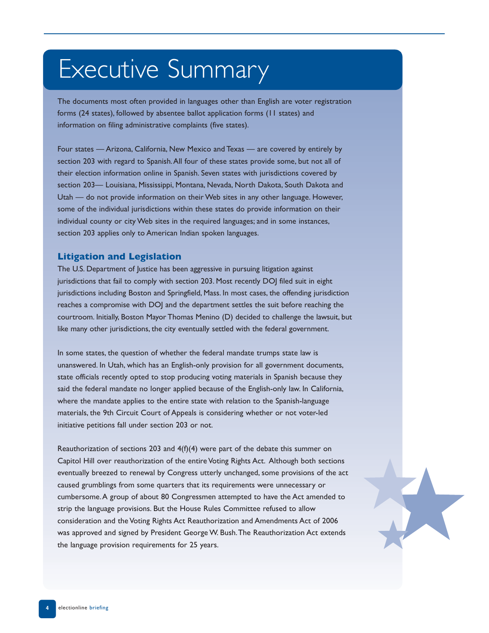# Executive Summary

The documents most often provided in languages other than English are voter registration forms (24 states), followed by absentee ballot application forms (11 states) and information on filing administrative complaints (five states).

Four states — Arizona, California, New Mexico and Texas — are covered by entirely by section 203 with regard to Spanish.All four of these states provide some, but not all of their election information online in Spanish. Seven states with jurisdictions covered by section 203— Louisiana, Mississippi, Montana, Nevada, North Dakota, South Dakota and Utah — do not provide information on their Web sites in any other language. However, some of the individual jurisdictions within these states do provide information on their individual county or city Web sites in the required languages; and in some instances, section 203 applies only to American Indian spoken languages.

#### **Litigation and Legislation**

The U.S. Department of Justice has been aggressive in pursuing litigation against jurisdictions that fail to comply with section 203. Most recently DOJ filed suit in eight jurisdictions including Boston and Springfield, Mass. In most cases, the offending jurisdiction reaches a compromise with DOJ and the department settles the suit before reaching the courtroom. Initially, Boston Mayor Thomas Menino (D) decided to challenge the lawsuit, but like many other jurisdictions, the city eventually settled with the federal government.

In some states, the question of whether the federal mandate trumps state law is unanswered. In Utah, which has an English-only provision for all government documents, state officials recently opted to stop producing voting materials in Spanish because they said the federal mandate no longer applied because of the English-only law. In California, where the mandate applies to the entire state with relation to the Spanish-language materials, the 9th Circuit Court of Appeals is considering whether or not voter-led initiative petitions fall under section 203 or not.

Reauthorization of sections 203 and 4(f)(4) were part of the debate this summer on Capitol Hill over reauthorization of the entire Voting Rights Act. Although both sections eventually breezed to renewal by Congress utterly unchanged, some provisions of the act caused grumblings from some quarters that its requirements were unnecessary or cumbersome.A group of about 80 Congressmen attempted to have the Act amended to strip the language provisions. But the House Rules Committee refused to allow consideration and the Voting Rights Act Reauthorization and Amendments Act of 2006 was approved and signed by President George W. Bush.The Reauthorization Act extends the language provision requirements for 25 years.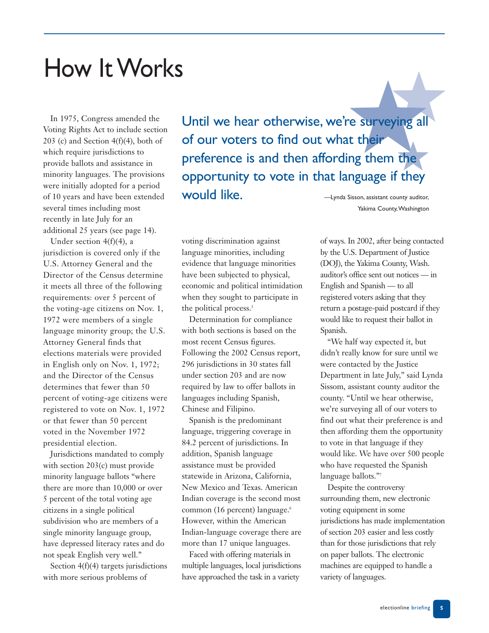# How It Works

In 1975, Congress amended the Voting Rights Act to include section 203 (c) and Section  $4(f)(4)$ , both of which require jurisdictions to provide ballots and assistance in minority languages. The provisions were initially adopted for a period of 10 years and have been extended several times including most recently in late July for an additional 25 years (see page 14).

Under section 4(f)(4), a jurisdiction is covered only if the U.S. Attorney General and the Director of the Census determine it meets all three of the following requirements: over 5 percent of the voting-age citizens on Nov. 1, 1972 were members of a single language minority group; the U.S. Attorney General finds that elections materials were provided in English only on Nov. 1, 1972; and the Director of the Census determines that fewer than 50 percent of voting-age citizens were registered to vote on Nov. 1, 1972 or that fewer than 50 percent voted in the November 1972 presidential election.

Jurisdictions mandated to comply with section 203(c) must provide minority language ballots "where there are more than 10,000 or over 5 percent of the total voting age citizens in a single political subdivision who are members of a single minority language group, have depressed literacy rates and do not speak English very well."

Section 4(f)(4) targets jurisdictions with more serious problems of

Until we hear otherwise, we're surveying all of our voters to find out what their preference is and then affording them the opportunity to vote in that language if they would like. **Would like Would Like Would Like Example 2018** 

Yakima County,Washington

voting discrimination against language minorities, including evidence that language minorities have been subjected to physical, economic and political intimidation when they sought to participate in the political process.<sup>5</sup>

Determination for compliance with both sections is based on the most recent Census figures. Following the 2002 Census report, 296 jurisdictions in 30 states fall under section 203 and are now required by law to offer ballots in languages including Spanish, Chinese and Filipino.

Spanish is the predominant language, triggering coverage in 84.2 percent of jurisdictions. In addition, Spanish language assistance must be provided statewide in Arizona, California, New Mexico and Texas. American Indian coverage is the second most common (16 percent) language.<sup>6</sup> However, within the American Indian-language coverage there are more than 17 unique languages.

Faced with offering materials in multiple languages, local jurisdictions have approached the task in a variety

of ways. In 2002, after being contacted by the U.S. Department of Justice (DOJ), the Yakima County, Wash. auditor's office sent out notices — in English and Spanish — to all registered voters asking that they return a postage-paid postcard if they would like to request their ballot in Spanish.

"We half way expected it, but didn't really know for sure until we were contacted by the Justice Department in late July," said Lynda Sissom, assistant county auditor the county. "Until we hear otherwise, we're surveying all of our voters to find out what their preference is and then affording them the opportunity to vote in that language if they would like. We have over 500 people who have requested the Spanish language ballots."7

Despite the controversy surrounding them, new electronic voting equipment in some jurisdictions has made implementation of section 203 easier and less costly than for those jurisdictions that rely on paper ballots. The electronic machines are equipped to handle a variety of languages.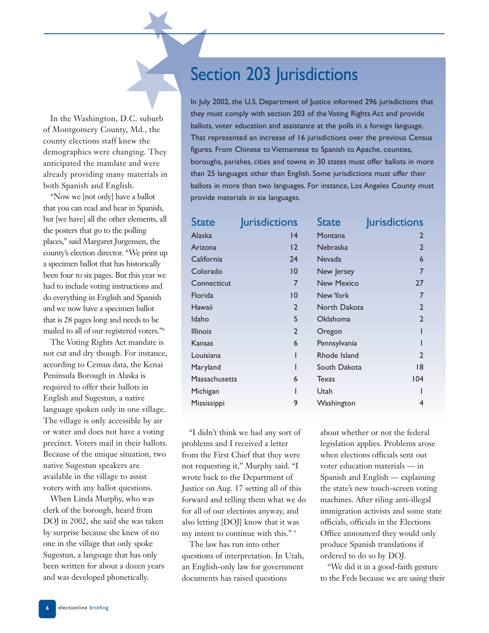In the Washington, D.C. suburb of Montgomery County, Md., the county elections staff knew the demographics were changing. They anticipated the mandate and were already providing many materials in both Spanish and English.

"Now we [not only] have a ballot that you can read and hear in Spanish, but [we have] all the other elements, all the posters that go to the polling places," said Margaret Jurgensen, the county's election director. "We print up a specimen ballot that has historically been four to six pages. But this year we had to include voting instructions and do everything in English and Spanish and we now have a specimen ballot that is 28 pages long and needs to be mailed to all of our registered voters."8

The Voting Rights Act mandate is not cut and dry though. For instance, according to Census data, the Kenai Peninsula Borough in Alaska is required to offer their ballots in English and Sugestun, a native language spoken only in one village. The village is only accessible by air or water and does not have a voting precinct. Voters mail in their ballots. Because of the unique situation, two native Sugestun speakers are available in the village to assist voters with any ballot questions.

When Linda Murphy, who was clerk of the borough, heard from DOJ in 2002, she said she was taken by surprise because she knew of no one in the village that only spoke Sugestun, a language that has only been written for about a dozen years and was developed phonetically.

# Section 203 Jurisdictions

In July 2002, the U.S. Department of Justice informed 296 jurisdictions that they must comply with section 203 of the Voting Rights Act and provide ballots, voter education and assistance at the polls in a foreign language. That represented an increase of 16 jurisdictions over the previous Census figures. From Chinese to Vietnamese to Spanish to Apache, counties, boroughs, parishes, cities and towns in 30 states must offer ballots in more than 25 languages other than English. Some jurisdictions must offer their ballots in more than two languages. For instance, Los Angeles County must provide materials in six languages.

| <b>State</b>    | <b>Jurisdictions</b> | <b>State</b>    | <b>Jurisdictions</b> |
|-----------------|----------------------|-----------------|----------------------|
| Alaska          | 4                    | Montana         | $\overline{2}$       |
| Arizona         | 12                   | <b>Nebraska</b> | $\overline{2}$       |
| California      | 24                   | <b>Nevada</b>   | 6                    |
| Colorado        | 10                   | New Jersey      | $\overline{7}$       |
| Connecticut     | 7                    | New Mexico      | 27                   |
| Florida         | $\overline{10}$      | New York        | $\overline{7}$       |
| Hawaii          | $\overline{2}$       | North Dakota    | $\overline{2}$       |
| Idaho           | 5                    | Oklahoma        | $\overline{2}$       |
| <b>Illinois</b> | $\overline{2}$       | Oregon          |                      |
| Kansas          | 6                    | Pennsylvania    |                      |
| Louisiana       | ı                    | Rhode Island    | $\overline{2}$       |
| Maryland        |                      | South Dakota    | 18                   |
| Massachusetts   | 6                    | Texas           | 104                  |
| Michigan        |                      | Utah            |                      |
| Mississippi     | 9                    | Washington      | 4                    |

"I didn't think we had any sort of problems and I received a letter from the First Chief that they were not requesting it," Murphy said. "I wrote back to the Department of Justice on Aug. 17 setting all of this forward and telling them what we do for all of our elections anyway, and also letting [DOJ] know that it was my intent to continue with this." 9

The law has run into other questions of interpretation. In Utah, an English-only law for government documents has raised questions

about whether or not the federal legislation applies. Problems arose when elections officials sent out voter education materials — in Spanish and English — explaining the state's new touch-screen voting machines. After riling anti-illegal immigration activists and some state officials, officials in the Elections Office announced they would only produce Spanish translations if ordered to do so by DOJ.

"We did it in a good-faith gesture to the Feds because we are using their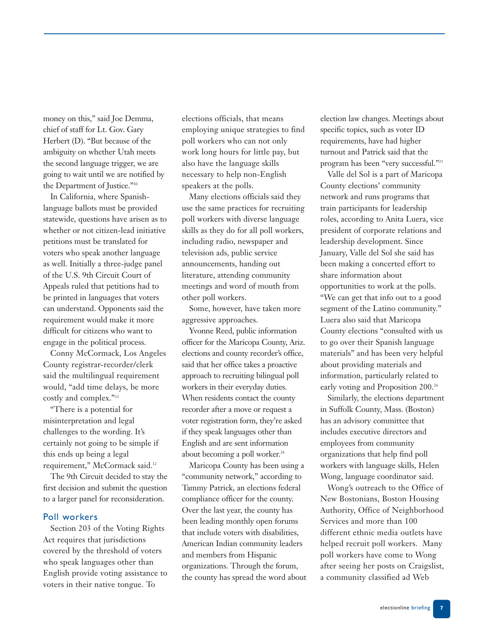money on this," said Joe Demma, chief of staff for Lt. Gov. Gary Herbert (D). "But because of the ambiguity on whether Utah meets the second language trigger, we are going to wait until we are notified by the Department of Justice."10

In California, where Spanishlanguage ballots must be provided statewide, questions have arisen as to whether or not citizen-lead initiative petitions must be translated for voters who speak another language as well. Initially a three-judge panel of the U.S. 9th Circuit Court of Appeals ruled that petitions had to be printed in languages that voters can understand. Opponents said the requirement would make it more difficult for citizens who want to engage in the political process.

Conny McCormack, Los Angeles County registrar-recorder/clerk said the multilingual requirement would, "add time delays, be more costly and complex."11

"There is a potential for misinterpretation and legal challenges to the wording. It's certainly not going to be simple if this ends up being a legal requirement," McCormack said.<sup>12</sup>

The 9th Circuit decided to stay the first decision and submit the question to a larger panel for reconsideration.

#### Poll workers

Section 203 of the Voting Rights Act requires that jurisdictions covered by the threshold of voters who speak languages other than English provide voting assistance to voters in their native tongue. To

elections officials, that means employing unique strategies to find poll workers who can not only work long hours for little pay, but also have the language skills necessary to help non-English speakers at the polls.

Many elections officials said they use the same practices for recruiting poll workers with diverse language skills as they do for all poll workers, including radio, newspaper and television ads, public service announcements, handing out literature, attending community meetings and word of mouth from other poll workers.

Some, however, have taken more aggressive approaches.

Yvonne Reed, public information officer for the Maricopa County, Ariz. elections and county recorder's office, said that her office takes a proactive approach to recruiting bilingual poll workers in their everyday duties. When residents contact the county recorder after a move or request a voter registration form, they're asked if they speak languages other than English and are sent information about becoming a poll worker.<sup>24</sup>

Maricopa County has been using a "community network," according to Tammy Patrick, an elections federal compliance officer for the county. Over the last year, the county has been leading monthly open forums that include voters with disabilities, American Indian community leaders and members from Hispanic organizations. Through the forum, the county has spread the word about election law changes. Meetings about specific topics, such as voter ID requirements, have had higher turnout and Patrick said that the program has been "very successful."25

Valle del Sol is a part of Maricopa County elections' community network and runs programs that train participants for leadership roles, according to Anita Luera, vice president of corporate relations and leadership development. Since January, Valle del Sol she said has been making a concerted effort to share information about opportunities to work at the polls. "We can get that info out to a good segment of the Latino community." Luera also said that Maricopa County elections "consulted with us to go over their Spanish language materials" and has been very helpful about providing materials and information, particularly related to early voting and Proposition 200.<sup>26</sup>

Similarly, the elections department in Suffolk County, Mass. (Boston) has an advisory committee that includes executive directors and employees from community organizations that help find poll workers with language skills, Helen Wong, language coordinator said.

Wong's outreach to the Office of New Bostonians, Boston Housing Authority, Office of Neighborhood Services and more than 100 different ethnic media outlets have helped recruit poll workers. Many poll workers have come to Wong after seeing her posts on Craigslist, a community classified ad Web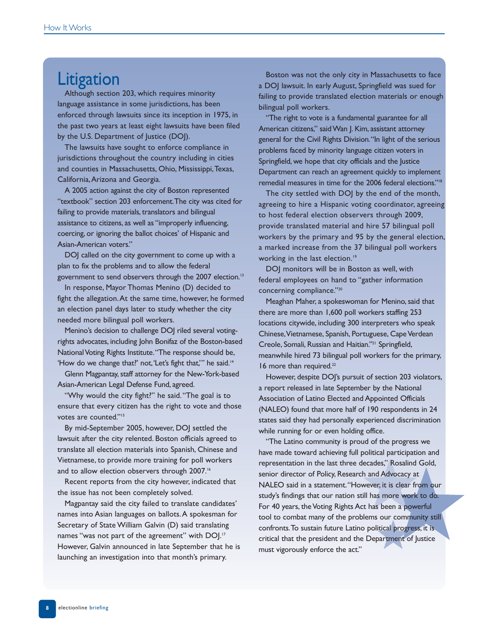## **Litigation**

Although section 203, which requires minority language assistance in some jurisdictions, has been enforced through lawsuits since its inception in 1975, in the past two years at least eight lawsuits have been filed by the U.S. Department of Justice (DOJ).

The lawsuits have sought to enforce compliance in jurisdictions throughout the country including in cities and counties in Massachusetts, Ohio, Mississippi,Texas, California,Arizona and Georgia.

A 2005 action against the city of Boston represented "textbook" section 203 enforcement.The city was cited for failing to provide materials, translators and bilingual assistance to citizens, as well as "improperly influencing, coercing, or ignoring the ballot choices' of Hispanic and Asian-American voters."

DOJ called on the city government to come up with a plan to fix the problems and to allow the federal government to send observers through the 2007 election.<sup>13</sup>

In response, Mayor Thomas Menino (D) decided to fight the allegation.At the same time, however, he formed an election panel days later to study whether the city needed more bilingual poll workers.

Menino's decision to challenge DOJ riled several votingrights advocates, including John Bonifaz of the Boston-based National Voting Rights Institute."The response should be, 'How do we change that?' not, 'Let's fight that,'' he said.<sup>14</sup>

Glenn Magpantay, staff attorney for the New-York-based Asian-American Legal Defense Fund, agreed.

"Why would the city fight?" he said."The goal is to ensure that every citizen has the right to vote and those votes are counted."<sup>15</sup>

By mid-September 2005, however, DOJ settled the lawsuit after the city relented. Boston officials agreed to translate all election materials into Spanish, Chinese and Vietnamese, to provide more training for poll workers and to allow election observers through 2007.<sup>16</sup>

Recent reports from the city however, indicated that the issue has not been completely solved.

Magpantay said the city failed to translate candidates' names into Asian languages on ballots.A spokesman for Secretary of State William Galvin (D) said translating names "was not part of the agreement" with DOJ.<sup>17</sup> However, Galvin announced in late September that he is launching an investigation into that month's primary.

Boston was not the only city in Massachusetts to face a DOJ lawsuit. In early August, Springfield was sued for failing to provide translated election materials or enough bilingual poll workers.

"The right to vote is a fundamental guarantee for all American citizens," said Wan J. Kim, assistant attorney general for the Civil Rights Division."In light of the serious problems faced by minority language citizen voters in Springfield, we hope that city officials and the Justice Department can reach an agreement quickly to implement remedial measures in time for the 2006 federal elections."18

The city settled with DOJ by the end of the month, agreeing to hire a Hispanic voting coordinator, agreeing to host federal election observers through 2009, provide translated material and hire 57 bilingual poll workers by the primary and 95 by the general election, a marked increase from the 37 bilingual poll workers working in the last election.<sup>19</sup>

DOJ monitors will be in Boston as well, with federal employees on hand to "gather information concerning compliance."20

Meaghan Maher, a spokeswoman for Menino, said that there are more than 1,600 poll workers staffing 253 locations citywide, including 300 interpreters who speak Chinese,Vietnamese, Spanish, Portuguese, Cape Verdean Creole, Somali, Russian and Haitian."21 Springfield, meanwhile hired 73 bilingual poll workers for the primary, 16 more than required.<sup>22</sup>

However, despite DOJ's pursuit of section 203 violators, a report released in late September by the National Association of Latino Elected and Appointed Officials (NALEO) found that more half of 190 respondents in 24 states said they had personally experienced discrimination while running for or even holding office.

"The Latino community is proud of the progress we have made toward achieving full political participation and representation in the last three decades," Rosalind Gold, senior director of Policy, Research and Advocacy at NALEO said in a statement."However, it is clear from our study's findings that our nation still has more work to do. For 40 years, the Voting Rights Act has been a powerful tool to combat many of the problems our community still confronts.To sustain future Latino political progress, it is critical that the president and the Department of Justice must vigorously enforce the act."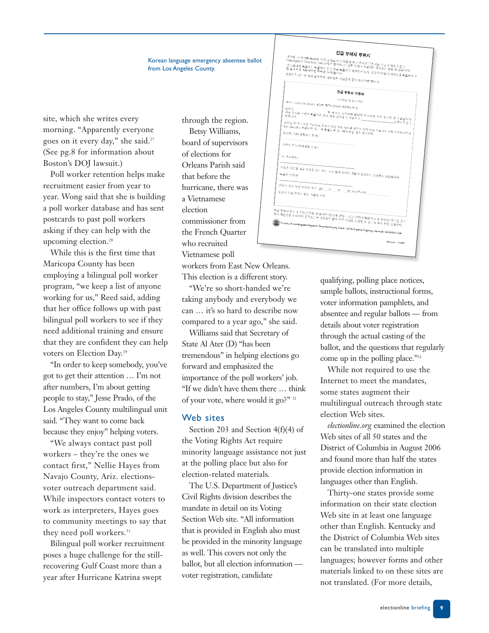#### Korean language emergency absentee ballot from Los Angeles County.

site, which she writes every morning. "Apparently everyone goes on it every day," she said.27 (See pg.8 for information about Boston's DOJ lawsuit.)

Poll worker retention helps make recruitment easier from year to year. Wong said that she is building a poll worker database and has sent postcards to past poll workers asking if they can help with the upcoming election.<sup>28</sup>

While this is the first time that Maricopa County has been employing a bilingual poll worker program, "we keep a list of anyone working for us," Reed said, adding that her office follows up with past bilingual poll workers to see if they need additional training and ensure that they are confident they can help voters on Election Day.<sup>29</sup>

"In order to keep somebody, you've got to get their attention … I'm not after numbers, I'm about getting people to stay," Jesse Prado, of the Los Angeles County multilingual unit said. "They want to come back because they enjoy" helping voters.

"We always contact past poll workers – they're the ones we contact first," Nellie Hayes from Navajo County, Ariz. electionsvoter outreach department said. While inspectors contact voters to work as interpreters, Hayes goes to community meetings to say that they need poll workers.<sup>31</sup>

Bilingual poll worker recruitment poses a huge challenge for the stillrecovering Gulf Coast more than a year after Hurricane Katrina swept

through the region. Betsy Williams, board of supervisors of elections for Orleans Parish said that before the hurricane, there was a Vietnamese election commissioner from the French Quarter who recruited Vietnamese poll

workers from East New Orleans. This election is a different story.

"We're so short-handed we're taking anybody and everybody we can … it's so hard to describe now compared to a year ago," she said.

Williams said that Secretary of State Al Ater (D) "has been tremendous" in helping elections go forward and emphasized the importance of the poll workers' job. "If we didn't have them there … think of your vote, where would it go?" 32

#### Web sites

Section 203 and Section 4(f)(4) of the Voting Rights Act require minority language assistance not just at the polling place but also for election-related materials.

The U.S. Department of Justice's Civil Rights division describes the mandate in detail on its Voting Section Web site. "All information that is provided in English also must be provided in the minority language as well. This covers not only the ballot, but all election information voter registration, candidate



qualifying, polling place notices, sample ballots, instructional forms, voter information pamphlets, and absentee and regular ballots — from details about voter registration through the actual casting of the ballot, and the questions that regularly come up in the polling place."<sup>33</sup>

While not required to use the Internet to meet the mandates, some states augment their multilingual outreach through state election Web sites.

*electionline.org* examined the election Web sites of all 50 states and the District of Columbia in August 2006 and found more than half the states provide election information in languages other than English.

Thirty-one states provide some information on their state election Web site in at least one language other than English. Kentucky and the District of Columbia Web sites can be translated into multiple languages; however forms and other materials linked to on these sites are not translated. (For more details,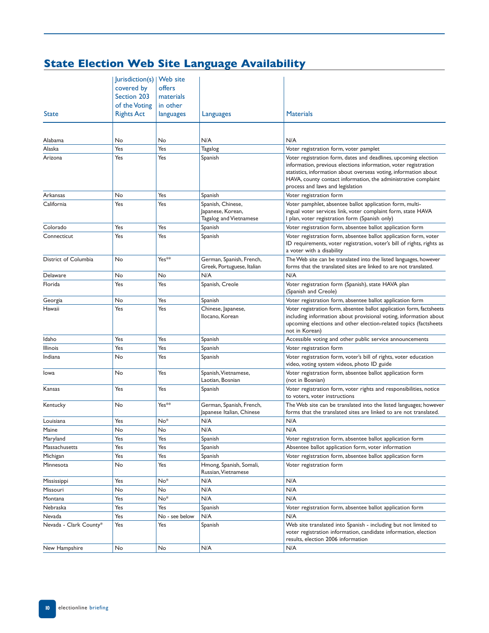### **State Election Web Site Language Availability**

|                        | Jurisdiction(s)   Web site |                |                                                                  |                                                                                                                                                                                                                                                                                                              |
|------------------------|----------------------------|----------------|------------------------------------------------------------------|--------------------------------------------------------------------------------------------------------------------------------------------------------------------------------------------------------------------------------------------------------------------------------------------------------------|
|                        |                            |                |                                                                  |                                                                                                                                                                                                                                                                                                              |
|                        | covered by                 | offers         |                                                                  |                                                                                                                                                                                                                                                                                                              |
|                        | Section 203                | materials      |                                                                  |                                                                                                                                                                                                                                                                                                              |
|                        | of the Voting              | in other       |                                                                  |                                                                                                                                                                                                                                                                                                              |
| <b>State</b>           | <b>Rights Act</b>          | languages      | Languages                                                        | <b>Materials</b>                                                                                                                                                                                                                                                                                             |
|                        |                            |                |                                                                  |                                                                                                                                                                                                                                                                                                              |
| Alabama                | No                         | No             | N/A                                                              | N/A                                                                                                                                                                                                                                                                                                          |
| Alaska                 | Yes                        | Yes            | Tagalog                                                          | Voter registration form, voter pamplet                                                                                                                                                                                                                                                                       |
| Arizona                | Yes                        | Yes            | Spanish                                                          | Voter registration form, dates and deadlines, upcoming election<br>information, previous elections information, voter registration<br>statistics, information about overseas voting, information about<br>HAVA, county contact information, the administrative complaint<br>process and laws and legislation |
| Arkansas               | No                         | Yes            | Spanish                                                          | Voter registration form                                                                                                                                                                                                                                                                                      |
| California             | Yes                        | Yes            | Spanish, Chinese,<br>Japanese, Korean,<br>Tagalog and Vietnamese | Voter pamphlet, absentee ballot application form, multi-<br>ingual voter services link, voter complaint form, state HAVA<br>I plan, voter registration form (Spanish only)                                                                                                                                   |
| Colorado               | Yes                        | Yes            | Spanish                                                          | Voter registration form, absentee ballot application form                                                                                                                                                                                                                                                    |
| Connecticut            | Yes                        | Yes            | Spanish                                                          | Voter registration form, absentee ballot application form, voter<br>ID requirements, voter registration, voter's bill of rights, rights as<br>a voter with a disability                                                                                                                                      |
| District of Columbia   | No                         | Yes**          | German, Spanish, French,<br>Greek, Portuguese, Italian           | The Web site can be translated into the listed languages, however<br>forms that the translated sites are linked to are not translated.                                                                                                                                                                       |
| Delaware               | No                         | No             | N/A                                                              | N/A                                                                                                                                                                                                                                                                                                          |
| Florida                | Yes                        | Yes            | Spanish, Creole                                                  | Voter registration form (Spanish), state HAVA plan<br>(Spanish and Creole)                                                                                                                                                                                                                                   |
| Georgia                | No                         | Yes            | Spanish                                                          | Voter registration form, absentee ballot application form                                                                                                                                                                                                                                                    |
| Hawaii                 | Yes                        | Yes            | Chinese, Japanese,<br>Ilocano, Korean                            | Voter registration form, absentee ballot application form, factsheets<br>including information about provisional voting, information about<br>upcoming elections and other election-related topics (factsheets<br>not in Korean)                                                                             |
| Idaho                  | Yes                        | Yes            | Spanish                                                          | Accessible voting and other public service announcements                                                                                                                                                                                                                                                     |
| Illinois               | Yes                        | Yes            | Spanish                                                          | Voter registration form                                                                                                                                                                                                                                                                                      |
| Indiana                | No                         | Yes            | Spanish                                                          | Voter registration form, voter's bill of rights, voter education<br>video, voting system videos, photo ID guide                                                                                                                                                                                              |
| Iowa                   | No                         | Yes            | Spanish, Vietnamese,<br>Laotian, Bosnian                         | Voter registration form, absentee ballot application form<br>(not in Bosnian)                                                                                                                                                                                                                                |
| Kansas                 | Yes                        | Yes            | Spanish                                                          | Voter registration form, voter rights and responsibilities, notice<br>to voters, voter instructions                                                                                                                                                                                                          |
| Kentucky               | No                         | Yes**          | German, Spanish, French,<br>Japanese Italian, Chinese            | The Web site can be translated into the listed languages; however<br>forms that the translated sites are linked to are not translated.                                                                                                                                                                       |
| Louisiana              | Yes                        | No*            | N/A                                                              | N/A                                                                                                                                                                                                                                                                                                          |
| Maine                  | No                         | No             | N/A                                                              | N/A                                                                                                                                                                                                                                                                                                          |
| Maryland               | Yes                        | Yes            | Spanish                                                          | Voter registration form, absentee ballot application form                                                                                                                                                                                                                                                    |
| Massachusetts          | Yes                        | Yes            | Spanish                                                          | Absentee ballot application form, voter information                                                                                                                                                                                                                                                          |
| Michigan               | Yes                        | Yes            | Spanish                                                          | Voter registration form, absentee ballot application form                                                                                                                                                                                                                                                    |
| Minnesota              | No                         | Yes            | Hmong, Spanish, Somali,<br>Russian, Vietnamese                   | Voter registration form                                                                                                                                                                                                                                                                                      |
| Mississippi            | Yes                        | No*            | N/A                                                              | N/A                                                                                                                                                                                                                                                                                                          |
| Missouri               | No                         | No             | N/A                                                              | N/A                                                                                                                                                                                                                                                                                                          |
| Montana                | Yes                        | No*            | N/A                                                              | N/A                                                                                                                                                                                                                                                                                                          |
| Nebraska               | Yes                        | Yes            | Spanish                                                          | Voter registration form, absentee ballot application form                                                                                                                                                                                                                                                    |
| Nevada                 | Yes                        | No - see below | N/A                                                              | N/A                                                                                                                                                                                                                                                                                                          |
| Nevada - Clark County* | Yes                        | Yes            | Spanish                                                          | Web site translated into Spanish - including but not limited to<br>voter registration information, candidate information, election<br>results, election 2006 information                                                                                                                                     |
| New Hampshire          | No                         | No             | N/A                                                              | N/A                                                                                                                                                                                                                                                                                                          |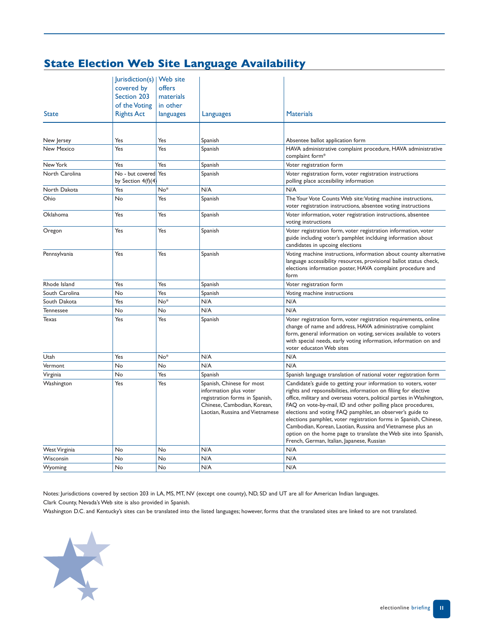### **State Election Web Site Language Availability**

|                  | Jurisdiction(s)   Web site                   |                 |                                                                                                                                                         |                                                                                                                                                                                                                                                                                                                                                                                                                                                                                                                                                                                              |
|------------------|----------------------------------------------|-----------------|---------------------------------------------------------------------------------------------------------------------------------------------------------|----------------------------------------------------------------------------------------------------------------------------------------------------------------------------------------------------------------------------------------------------------------------------------------------------------------------------------------------------------------------------------------------------------------------------------------------------------------------------------------------------------------------------------------------------------------------------------------------|
|                  | covered by                                   | offers          |                                                                                                                                                         |                                                                                                                                                                                                                                                                                                                                                                                                                                                                                                                                                                                              |
|                  | Section 203                                  | materials       |                                                                                                                                                         |                                                                                                                                                                                                                                                                                                                                                                                                                                                                                                                                                                                              |
|                  | of the Voting                                | in other        |                                                                                                                                                         |                                                                                                                                                                                                                                                                                                                                                                                                                                                                                                                                                                                              |
| <b>State</b>     | <b>Rights Act</b>                            | languages       | Languages                                                                                                                                               | <b>Materials</b>                                                                                                                                                                                                                                                                                                                                                                                                                                                                                                                                                                             |
|                  |                                              |                 |                                                                                                                                                         |                                                                                                                                                                                                                                                                                                                                                                                                                                                                                                                                                                                              |
| New Jersey       | Yes                                          | Yes             | Spanish                                                                                                                                                 | Absentee ballot application form                                                                                                                                                                                                                                                                                                                                                                                                                                                                                                                                                             |
| New Mexico       | Yes                                          | Yes             | Spanish                                                                                                                                                 | HAVA administrative complaint procedure, HAVA administrative<br>complaint form*                                                                                                                                                                                                                                                                                                                                                                                                                                                                                                              |
| New York         | Yes                                          | Yes             | Spanish                                                                                                                                                 | Voter registration form                                                                                                                                                                                                                                                                                                                                                                                                                                                                                                                                                                      |
| North Carolina   | No - but covered Yes<br>by Section $4(f)(4)$ |                 | Spanish                                                                                                                                                 | Voter registration form, voter registration instructions<br>polling place accesibility information                                                                                                                                                                                                                                                                                                                                                                                                                                                                                           |
| North Dakota     | Yes                                          | $No*$           | N/A                                                                                                                                                     | N/A                                                                                                                                                                                                                                                                                                                                                                                                                                                                                                                                                                                          |
| Ohio             | No                                           | Yes             | Spanish                                                                                                                                                 | The Your Vote Counts Web site: Voting machine instructions,<br>voter registration instructions, absentee voting instructions                                                                                                                                                                                                                                                                                                                                                                                                                                                                 |
| Oklahoma         | Yes                                          | Yes             | Spanish                                                                                                                                                 | Voter information, voter registration instructions, absentee<br>voting instructions                                                                                                                                                                                                                                                                                                                                                                                                                                                                                                          |
| Oregon           | Yes                                          | Yes             | Spanish                                                                                                                                                 | Voter registration form, voter registration information, voter<br>guide including voter's pamphlet inclduing information about<br>candidates in upcoing elections                                                                                                                                                                                                                                                                                                                                                                                                                            |
| Pennsylvania     | Yes                                          | Yes             | Spanish                                                                                                                                                 | Voting machine instructions, information about county alternative<br>language accessibility resources, provisional ballot status check,<br>elections information poster, HAVA complaint procedure and<br>form                                                                                                                                                                                                                                                                                                                                                                                |
| Rhode Island     | Yes                                          | Yes             | Spanish                                                                                                                                                 | Voter registration form                                                                                                                                                                                                                                                                                                                                                                                                                                                                                                                                                                      |
| South Carolina   | No                                           | Yes             | Spanish                                                                                                                                                 | Voting machine instructions                                                                                                                                                                                                                                                                                                                                                                                                                                                                                                                                                                  |
| South Dakota     | Yes                                          | No*             | N/A                                                                                                                                                     | N/A                                                                                                                                                                                                                                                                                                                                                                                                                                                                                                                                                                                          |
| <b>Tennessee</b> | No                                           | No              | N/A                                                                                                                                                     | N/A                                                                                                                                                                                                                                                                                                                                                                                                                                                                                                                                                                                          |
| <b>Texas</b>     | Yes                                          | Yes             | Spanish                                                                                                                                                 | Voter registration form, voter registration requirements, online<br>change of name and address, HAVA administrative complaint<br>form, general information on voting, services available to voters<br>with special needs, early voting information, information on and<br>voter educaton Web sites                                                                                                                                                                                                                                                                                           |
| Utah             | Yes                                          | No <sup>*</sup> | N/A                                                                                                                                                     | N/A                                                                                                                                                                                                                                                                                                                                                                                                                                                                                                                                                                                          |
| Vermont          | No                                           | No              | N/A                                                                                                                                                     | N/A                                                                                                                                                                                                                                                                                                                                                                                                                                                                                                                                                                                          |
| Virginia         | No                                           | Yes             | Spanish                                                                                                                                                 | Spanish language translation of national voter registration form                                                                                                                                                                                                                                                                                                                                                                                                                                                                                                                             |
| Washington       | Yes                                          | Yes             | Spanish, Chinese for most<br>information plus voter<br>registration forms in Spanish,<br>Chinese, Cambodian, Korean,<br>Laotian, Russina and Vietnamese | Candidate's guide to getting your information to voters, voter<br>rights and repsonsibilities, information on filiing for elective<br>office, military and overseas voters, political parties in Washington,<br>FAQ on vote-by-mail, ID and other polling place procedures,<br>elections and voting FAQ pamphlet, an observer's guide to<br>elections pamphlet, voter registration forms in Spanish, Chinese,<br>Cambodian, Korean, Laotian, Russina and Vietnamese plus an<br>option on the home page to translate the Web site into Spanish,<br>French, German, Italian, Japanese, Russian |
| West Virginia    | No                                           | No              | N/A                                                                                                                                                     | N/A                                                                                                                                                                                                                                                                                                                                                                                                                                                                                                                                                                                          |
| Wisconsin        | No                                           | <b>No</b>       | N/A                                                                                                                                                     | N/A                                                                                                                                                                                                                                                                                                                                                                                                                                                                                                                                                                                          |
| Wyoming          | No                                           | No              | N/A                                                                                                                                                     | N/A                                                                                                                                                                                                                                                                                                                                                                                                                                                                                                                                                                                          |

Notes: Jurisdictions covered by section 203 in LA, MS, MT, NV (except one county), ND, SD and UT are all for American Indian languages.

Clark County, Nevada's Web site is also provided in Spanish.

Washington D.C. and Kentucky's sites can be translated into the listed languages; however, forms that the translated sites are linked to are not translated.

![](_page_10_Picture_5.jpeg)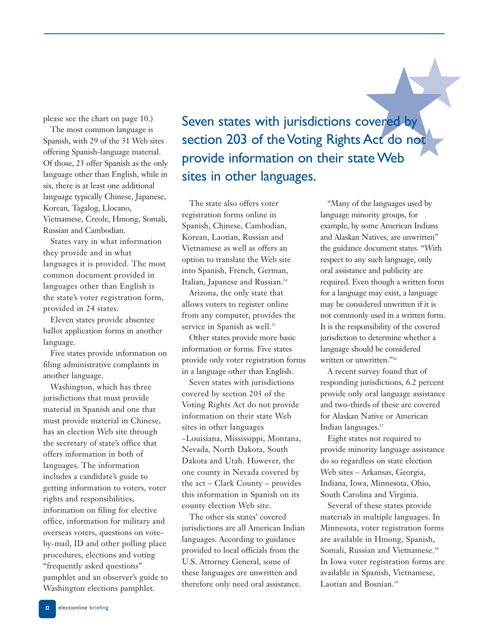please see the chart on page 10.)

The most common language is Spanish, with 29 of the 31 Web sites offering Spanish-language material. Of those, 23 offer Spanish as the only language other than English, while in six, there is at least one additional language typically Chinese, Japanese, Korean, Tagalog, Llocano, Vietnamese, Creole, Hmong, Somali, Russian and Cambodian.

States vary in what information they provide and in what languages it is provided. The most common document provided in languages other than English is the state's voter registration form, provided in 24 states.

Eleven states provide absentee ballot application forms in another language.

Five states provide information on filing administrative complaints in another language.

Washington, which has three jurisdictions that must provide material in Spanish and one that must provide material in Chinese, has an election Web site through the secretary of state's office that offers information in both of languages. The information includes a candidate's guide to getting information to voters, voter rights and responsibilities, information on filing for elective office, information for military and overseas voters, questions on voteby-mail, ID and other polling place procedures, elections and voting "frequently asked questions" pamphlet and an observer's guide to Washington elections pamphlet.

Seven states with jurisdictions covered by section 203 of the Voting Rights Act do not provide information on their state Web sites in other languages.

The state also offers voter registration forms online in Spanish, Chinese, Cambodian, Korean, Laotian, Russian and Vietnamese as well as offers an option to translate the Web site into Spanish, French, German, Italian, Japanese and Russian.34

Arizona, the only state that allows voters to register online from any computer, provides the service in Spanish as well.<sup>35</sup>

Other states provide more basic information or forms. Five states provide only voter registration forms in a language other than English.

Seven states with jurisdictions covered by section 203 of the Voting Rights Act do not provide information on their state Web sites in other languages –Louisiana, Mississippi, Montana, Nevada, North Dakota, South Dakota and Utah. However, the one county in Nevada covered by the act – Clark County – provides this information in Spanish on its county election Web site.

The other six states' covered jurisdictions are all American Indian languages. According to guidance provided to local officials from the U.S. Attorney General, some of these languages are unwritten and therefore only need oral assistance.

"Many of the languages used by language minority groups, for example, by some American Indians and Alaskan Natives, are unwritten" the guidance document states. "With respect to any such language, only oral assistance and publicity are required. Even though a written form for a language may exist, a language may be considered unwritten if it is not commonly used in a written form. It is the responsibility of the covered jurisdiction to determine whether a language should be considered written or unwritten."36

A recent survey found that of responding jurisdictions, 6.2 percent provide only oral language assistance and two-thirds of these are covered for Alaskan Native or American Indian languages.37

Eight states not required to provide minority language assistance do so regardless on state election Web sites – Arkansas, Georgia, Indiana, Iowa, Minnesota, Ohio, South Carolina and Virginia.

Several of these states provide materials in multiple languages. In Minnesota, voter registration forms are available in Hmong, Spanish, Somali, Russian and Vietnamese.<sup>38</sup> In Iowa voter registration forms are available in Spanish, Vietnamese, Laotian and Bosnian.<sup>39</sup>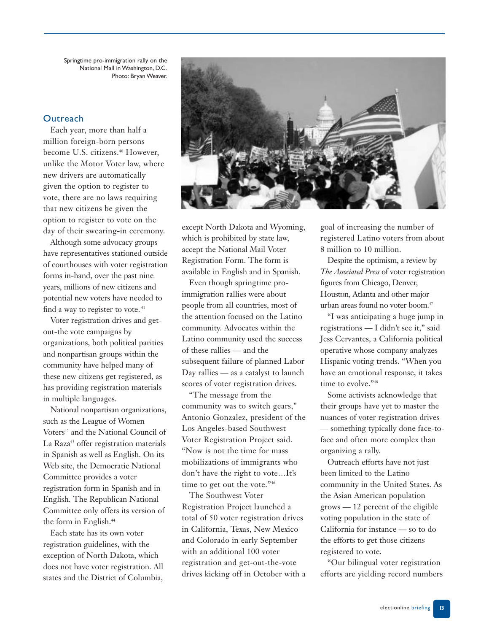Springtime pro-immigration rally on the National Mall in Washington, D.C. Photo: Bryan Weaver.

#### **Outreach**

Each year, more than half a million foreign-born persons become U.S. citizens.<sup>40</sup> However, unlike the Motor Voter law, where new drivers are automatically given the option to register to vote, there are no laws requiring that new citizens be given the option to register to vote on the day of their swearing-in ceremony.

Although some advocacy groups have representatives stationed outside of courthouses with voter registration forms in-hand, over the past nine years, millions of new citizens and potential new voters have needed to find a way to register to vote.<sup>41</sup>

Voter registration drives and getout-the vote campaigns by organizations, both political parities and nonpartisan groups within the community have helped many of these new citizens get registered, as has providing registration materials in multiple languages.

National nonpartisan organizations, such as the League of Women Voters<sup>42</sup> and the National Council of La Raza<sup>43</sup> offer registration materials in Spanish as well as English. On its Web site, the Democratic National Committee provides a voter registration form in Spanish and in English. The Republican National Committee only offers its version of the form in English.<sup>44</sup>

Each state has its own voter registration guidelines, with the exception of North Dakota, which does not have voter registration. All states and the District of Columbia,

![](_page_12_Picture_7.jpeg)

except North Dakota and Wyoming, which is prohibited by state law, accept the National Mail Voter Registration Form. The form is available in English and in Spanish.

Even though springtime proimmigration rallies were about people from all countries, most of the attention focused on the Latino community. Advocates within the Latino community used the success of these rallies — and the subsequent failure of planned Labor Day rallies — as a catalyst to launch scores of voter registration drives.

"The message from the community was to switch gears," Antonio Gonzalez, president of the Los Angeles-based Southwest Voter Registration Project said. "Now is not the time for mass mobilizations of immigrants who don't have the right to vote…It's time to get out the vote."<sup>46</sup>

The Southwest Voter Registration Project launched a total of 50 voter registration drives in California, Texas, New Mexico and Colorado in early September with an additional 100 voter registration and get-out-the-vote drives kicking off in October with a goal of increasing the number of registered Latino voters from about 8 million to 10 million.

Despite the optimism, a review by *The Associated Press* of voter registration figures from Chicago, Denver, Houston, Atlanta and other major urban areas found no voter boom.<sup>47</sup>

"I was anticipating a huge jump in registrations — I didn't see it," said Jess Cervantes, a California political operative whose company analyzes Hispanic voting trends. "When you have an emotional response, it takes time to evolve."<sup>48</sup>

Some activists acknowledge that their groups have yet to master the nuances of voter registration drives — something typically done face-toface and often more complex than organizing a rally.

Outreach efforts have not just been limited to the Latino community in the United States. As the Asian American population grows — 12 percent of the eligible voting population in the state of California for instance — so to do the efforts to get those citizens registered to vote.

"Our bilingual voter registration efforts are yielding record numbers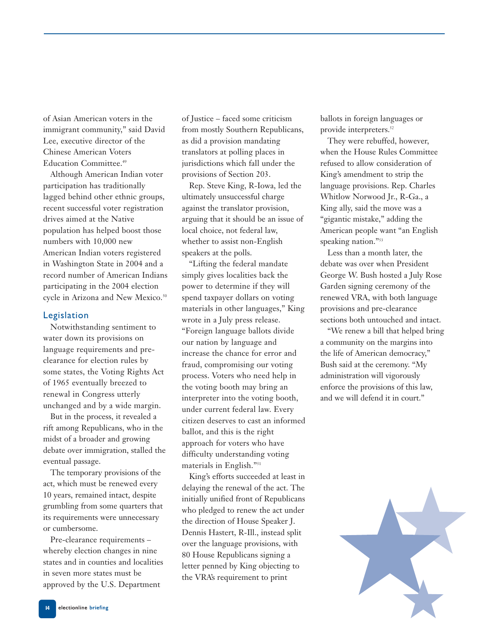of Asian American voters in the immigrant community," said David Lee, executive director of the Chinese American Voters Education Committee.<sup>49</sup>

Although American Indian voter participation has traditionally lagged behind other ethnic groups, recent successful voter registration drives aimed at the Native population has helped boost those numbers with 10,000 new American Indian voters registered in Washington State in 2004 and a record number of American Indians participating in the 2004 election cycle in Arizona and New Mexico.<sup>50</sup>

#### Legislation

Notwithstanding sentiment to water down its provisions on language requirements and preclearance for election rules by some states, the Voting Rights Act of 1965 eventually breezed to renewal in Congress utterly unchanged and by a wide margin.

But in the process, it revealed a rift among Republicans, who in the midst of a broader and growing debate over immigration, stalled the eventual passage.

The temporary provisions of the act, which must be renewed every 10 years, remained intact, despite grumbling from some quarters that its requirements were unnecessary or cumbersome.

Pre-clearance requirements – whereby election changes in nine states and in counties and localities in seven more states must be approved by the U.S. Department

of Justice – faced some criticism from mostly Southern Republicans, as did a provision mandating translators at polling places in jurisdictions which fall under the provisions of Section 203.

Rep. Steve King, R-Iowa, led the ultimately unsuccessful charge against the translator provision, arguing that it should be an issue of local choice, not federal law, whether to assist non-English speakers at the polls.

"Lifting the federal mandate simply gives localities back the power to determine if they will spend taxpayer dollars on voting materials in other languages," King wrote in a July press release. "Foreign language ballots divide our nation by language and increase the chance for error and fraud, compromising our voting process. Voters who need help in the voting booth may bring an interpreter into the voting booth, under current federal law. Every citizen deserves to cast an informed ballot, and this is the right approach for voters who have difficulty understanding voting materials in English."51

King's efforts succeeded at least in delaying the renewal of the act. The initially unified front of Republicans who pledged to renew the act under the direction of House Speaker J. Dennis Hastert, R-Ill., instead split over the language provisions, with 80 House Republicans signing a letter penned by King objecting to the VRA's requirement to print

ballots in foreign languages or provide interpreters.<sup>52</sup>

They were rebuffed, however, when the House Rules Committee refused to allow consideration of King's amendment to strip the language provisions. Rep. Charles Whitlow Norwood Jr., R-Ga., a King ally, said the move was a "gigantic mistake," adding the American people want "an English speaking nation."<sup>53</sup>

Less than a month later, the debate was over when President George W. Bush hosted a July Rose Garden signing ceremony of the renewed VRA, with both language provisions and pre-clearance sections both untouched and intact.

"We renew a bill that helped bring a community on the margins into the life of American democracy," Bush said at the ceremony. "My administration will vigorously enforce the provisions of this law, and we will defend it in court."

![](_page_13_Picture_15.jpeg)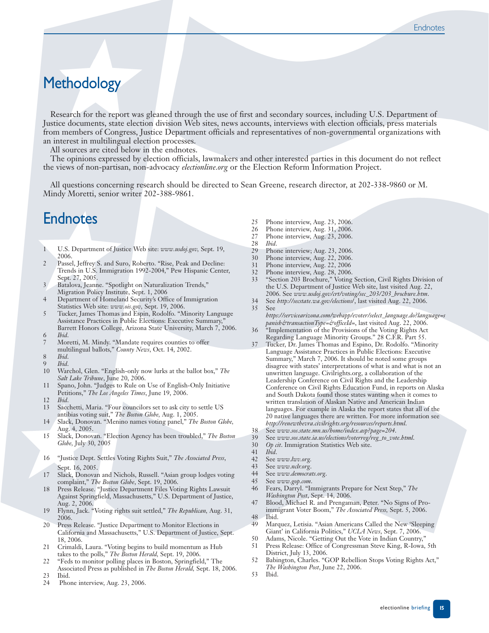# **Methodology**

Research for the report was gleaned through the use of first and secondary sources, including U.S. Department of Justice documents, state election division Web sites, news accounts, interviews with election officials, press materials from members of Congress, Justice Department officials and representatives of non-governmental organizations with an interest in multilingual election processes.

All sources are cited below in the endnotes.

The opinions expressed by election officials, lawmakers and other interested parties in this document do not reflect the views of non-partisan, non-advocacy *electionline.org* or the Election Reform Information Project.

All questions concerning research should be directed to Sean Greene, research director, at 202-338-9860 or M. Mindy Moretti, senior writer 202-388-9861.

### **Endnotes**

- 1 U.S. Department of Justice Web site: *www.usdoj.gov,* Sept. 19, 2006.
- 2 Passel, Jeffrey S. and Suro, Roberto. "Rise, Peak and Decline: Trends in U.S. Immigration 1992-2004," Pew Hispanic Center, Sept. 27, 2005.
- Batalova, Jeanne. "Spotlight on Naturalization Trends," Migration Policy Institute, Sept. 1, 2006
- 4 Department of Homeland Security's Office of Immigration Statistics Web site: *www.ois.gov,* Sept. 19, 2006.
- 5 Tucker, James Thomas and Espin, Rodolfo. "Minority Language Assistance Practices in Public Elections: Executive Summary, Barrett Honors College, Arizona State University, March 7, 2006. 6 *Ibid*.
- Moretti, M. Mindy. "Mandate requires counties to offer multilingual ballots," *County News*, Oct. 14, 2002.
- 8 *Ibid*.
- 
- 9 *Ibid*. 10 Warchol, Glen. "English-only now lurks at the ballot box," *The Salt Lake Tribune*, June 20, 2006.
- 11 Spano, John. "Judges to Rule on Use of English-Only Initiative Petitions," *The Los Angeles Times*, June 19, 2006.
- 
- 12 *Ibid*. Sacchetti, Maria. "Four councilors set to ask city to settle US antibias voting suit," *The Boston Globe,* Aug. 1, 2005.
- 14 Slack, Donovan. "Menino names voting panel," *The Boston Globe,* Aug. 4, 2005.
- 15 Slack, Donovan. "Election Agency has been troubled," *The Boston Globe,* July 30, 2005
- 16 "Justice Dept. Settles Voting Rights Suit," *The Associated Press*, Sept. 16, 2005.
- 17 Slack, Donovan and Nichols, Russell. "Asian group lodges voting complaint," *The Boston Globe*, Sept. 19, 2006.
- 18 Press Release. "Justice Department Files Voting Rights Lawsuit Against Springfield, Massachusetts," U.S. Department of Justice, Aug. 2, 2006.
- 19 Flynn, Jack. "Voting rights suit settled," *The Republican,* Aug. 31, 2006.
- 20 Press Release. "Justice Department to Monitor Elections in California and Massachusetts," U.S. Department of Justice, Sept. 18, 2006.
- 21 Crimaldi, Laura. "Voting begins to build momentum as Hub takes to the polls," *The Boston Herald,* Sept. 19, 2006.
- 22 "Feds to monitor polling places in Boston, Springfield," The
- Associated Press as published in *The Boston Herald,* Sept. 18, 2006. 23 Ibid.
- 24 Phone interview, Aug. 23, 2006.
- 25 Phone interview, Aug. 23, 2006.
- 26 Phone interview, Aug. 31, 2006.<br>27 Phone interview, Aug. 23, 2006.
- Phone interview, Aug. 23, 2006.
- 28 *Ibid*.
- 29 Phone interview; Aug. 23, 2006.<br>30 Phone interview. Aug. 22, 2006.
- Phone interview, Aug. 22, 2006.
- 31 Phone interview, Aug. 22, 2006<br>32 Phone interview, Aug. 28, 2006. Phone interview, Aug. 28, 2006.
- 33 "Section 203 Brochure," Voting Section, Civil Rights Division of
- the U.S. Department of Justice Web site, last visited Aug. 22, 2006. See *www.usdoj.gov/crt/voting/sec\_203/203\_brochure.htm*.
- 34 See *http://secstate.wa.gov/elections*/, last visited Aug. 22, 2006. 35 See
- *https://servicearizona.com/webapp/evoter/select\_language.do?language=s panish&transactionType=&officeId=*, last visited Aug. 22, 2006.
- 36 "Implementation of the Provisions of the Voting Rights Act Regarding Language Minority Groups." 28 C.F.R. Part 55. 37 Tucker, Dr. James Thomas and Espino, Dr. Rodolfo. "Minority
- Language Assistance Practices in Public Elections: Executive Summary," March 7, 2006. It should be noted some groups disagree with states' interpretations of what is and what is not an unwritten language. Civilrights.org, a collaboration of the Leadership Conference on Civil Rights and the Leadership Conference on Civil Rights Education Fund, in reports on Alaska and South Dakota found those states wanting when it comes to written translation of Alaskan Native and American Indian languages. For example in Alaska the report states that all of the 20 native languages there are written. For more information see *http://renewthevra.civilrights.org/resources/reports.html*.
- 38 See *www.sos.state.mn.us/home/index.asp?page=204*.
- 39 See *www.sos.state.ia.us/elections/voterreg/reg\_to\_vote.html*.
- 30 *Op cit*. Immigration Statistics Web site.
- 41 *Ibid*.
- 42 See *www.lwv.org.*
- See www.nclr.org.
- 44 See *www.democrats.org*.
- 45 See *www.gop.com*.
- 46 Fears, Darryl. "Immigrants Prepare for Next Step," *The Washington Post*, Sept. 14, 2006.
- 47 Blood, Michael R. and Prengaman, Peter. "No Signs of Proimmigrant Voter Boom," *The Associated Press,* Sept. 5, 2006. 48 Ibid.
- 49 Marquez, Letisia. "Asian Americans Called the New 'Sleeping Giant' in California Politics," *UCLA News*, Sept. 7, 2006.
- 50 Adams, Nicole. "Getting Out the Vote in Indian Country," 51 Press Release: Office of Congressman Steve King, R-Iowa, 5th
- District, July 13, 2006.
- 52 Babington, Charles. "GOP Rebellion Stops Voting Rights Act," *The Washington Post*, June 22, 2006.
- 53 Ibid.